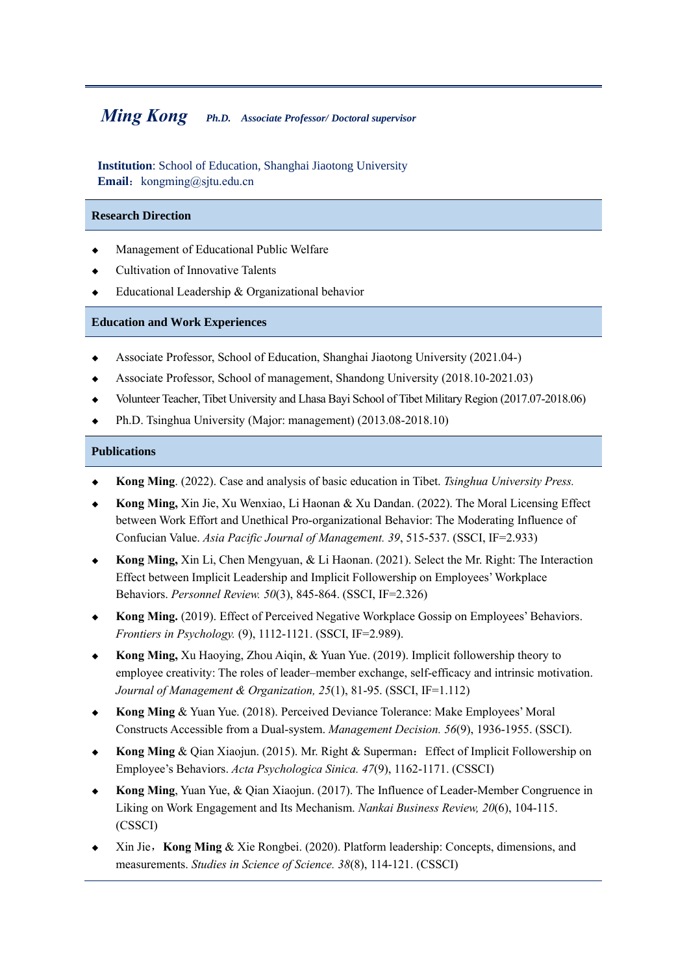# *Ming Kong**Ph.D. Associate Professor/ Doctoral supervisor*

**Institution**: School of Education, Shanghai Jiaotong University **Email:** kongming@sjtu.edu.cn

#### **Research Direction**

- Management of Educational Public Welfare
- Cultivation of Innovative Talents
- Educational Leadership & Organizational behavior

#### **Education and Work Experiences**

- ◆ Associate Professor, School of Education, Shanghai Jiaotong University (2021.04-)
- Associate Professor, School of management, Shandong University (2018.10-2021.03)
- Volunteer Teacher, Tibet University and Lhasa Bayi School of Tibet Military Region (2017.07-2018.06)
- Ph.D. Tsinghua University (Major: management) (2013.08-2018.10)

# **Publications**

- ◆ **Kong Ming**. (2022). Case and analysis of basic education in Tibet. *Tsinghua University Press.*
- ◆ **Kong Ming,** Xin Jie, Xu Wenxiao, Li Haonan & Xu Dandan. (2022). The Moral Licensing Effect between Work Effort and Unethical Pro-organizational Behavior: The Moderating Influence of Confucian Value. *Asia Pacific Journal of Management. 39*, 515-537. (SSCI, IF=2.933)
- ◆ **Kong Ming,** Xin Li, Chen Mengyuan, & Li Haonan. (2021). Select the Mr. Right: The Interaction Effect between Implicit Leadership and Implicit Followership on Employees' Workplace Behaviors. *Personnel Review. 50*(3), 845-864. (SSCI, IF=2.326)
- **Kong Ming.** (2019). Effect of Perceived Negative Workplace Gossip on Employees' Behaviors. *Frontiers in Psychology.* (9), 1112-1121. (SSCI, IF=2.989).
- **Kong Ming,** Xu Haoying, Zhou Aigin, & Yuan Yue. (2019). Implicit followership theory to employee creativity: The roles of leader–member exchange, self-efficacy and intrinsic motivation. *Journal of Management & Organization, 25*(1), 81-95. (SSCI, IF=1.112)
- **Kong Ming** & Yuan Yue. (2018). Perceived Deviance Tolerance: Make Employees' Moral Constructs Accessible from a Dual-system. *Management Decision. 56*(9), 1936-1955. (SSCI).
- **Kong Ming** & Qian Xiaojun. (2015). Mr. Right & Superman: Effect of Implicit Followership on Employee's Behaviors. *Acta Psychologica Sinica. 47*(9), 1162-1171. (CSSCI)
- Kong Ming, Yuan Yue, & Qian Xiaojun. (2017). The Influence of Leader-Member Congruence in Liking on Work Engagement and Its Mechanism. *Nankai Business Review, 20*(6), 104-115. (CSSCI)
- ◆ Xin Jie,**Kong Ming** & Xie Rongbei. (2020). Platform leadership: Concepts, dimensions, and measurements. *Studies in Science of Science. 38*(8), 114-121. (CSSCI)